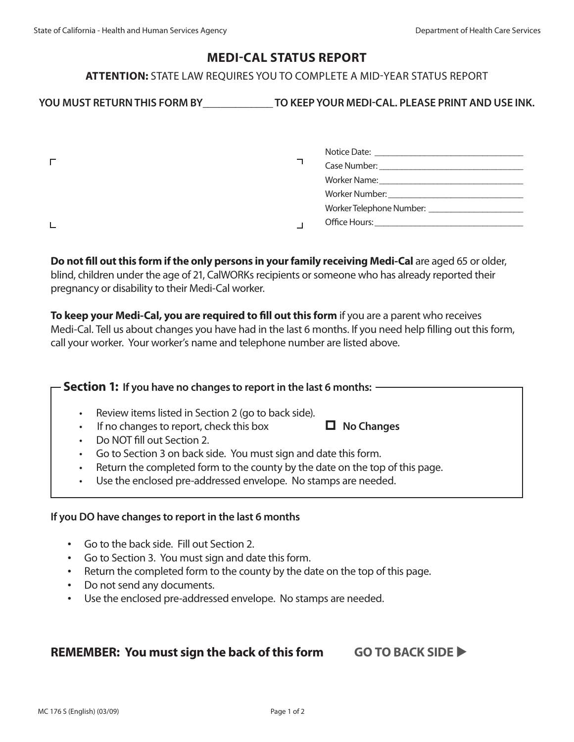## **MEDI-CAL STATUS REPORT**

### **ATTENTION:** STATE LAW REQUIRES YOU TO COMPLETE A MID-YEAR STATUS REPORT

# YOU MUST RETURN THIS FORM BY TO KEEP YOUR MEDI-CAL. PLEASE PRINT AND USE INK.

|  | Case Number:<br>the contract of the contract of the contract of the contract of the contract of                                                                                                                               |
|--|-------------------------------------------------------------------------------------------------------------------------------------------------------------------------------------------------------------------------------|
|  | Worker Name: Worker Name:                                                                                                                                                                                                     |
|  |                                                                                                                                                                                                                               |
|  |                                                                                                                                                                                                                               |
|  | Office Hours: The Contract of the Contract of the Contract of the Contract of the Contract of the Contract of the Contract of the Contract of the Contract of the Contract of the Contract of the Contract of the Contract of |

 **Do not fill out this form if the only persons in your family receiving Medi-Cal** are aged 65 or older, blind, children under the age of 21, CalWORKs recipients or someone who has already reported their pregnancy or disability to their Medi-Cal worker.

 **To keep your Medi-Cal, you are required to fill out this form** if you are a parent who receives Medi-Cal. Tell us about changes you have had in the last 6 months. If you need help filling out this form, call your worker. Your worker's name and telephone number are listed above.

### **Section 1: If you have no changes to report in the last 6 months:**

- Review items listed in Section 2 (go to back side).
- If no changes to report, check this box  $\Box$  No Changes
- Do NOT fill out Section 2.
- Go to Section 3 on back side. You must sign and date this form.
- Return the completed form to the county by the date on the top of this page.
- Use the enclosed pre-addressed envelope. No stamps are needed.

#### **If you DO have changes to report in the last 6 months**

- • Go to the back side. Fill out Section 2.
- • Go to Section 3. You must sign and date this form.
- Return the completed form to the county by the date on the top of this page.
- • Do not send any documents.
- Use the enclosed pre-addressed envelope. No stamps are needed.

## **REMEMBER: You must sign the back of this form GO TO BACK SIDE**